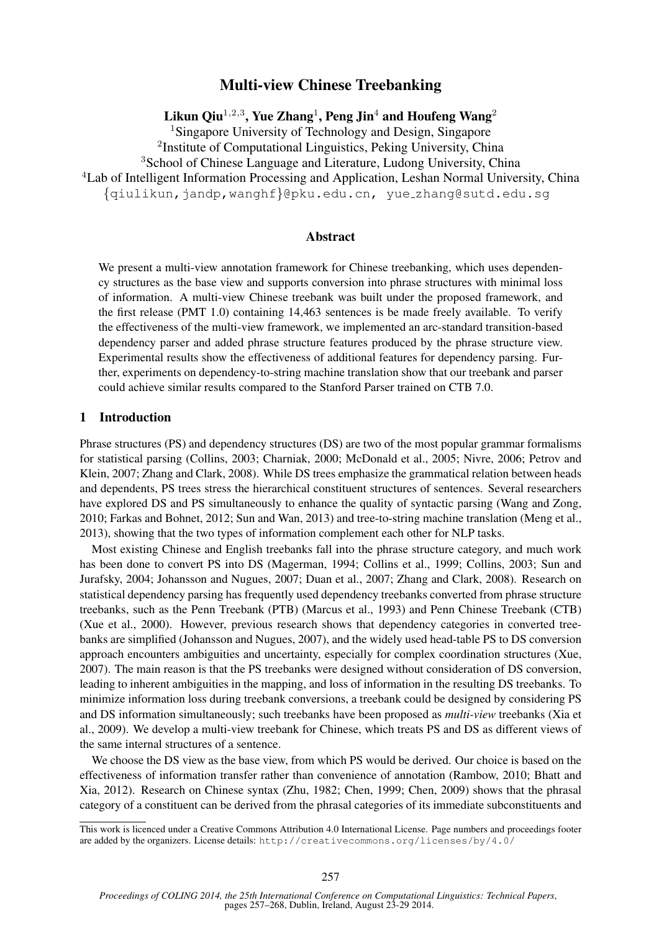# Multi-view Chinese Treebanking

Likun Qiu $^{1,2,3}$ , Yue Zhang $^{1}$ , Peng Jin $^{4}$  and Houfeng Wang $^{2}$ 

<sup>1</sup>Singapore University of Technology and Design, Singapore

<sup>2</sup>Institute of Computational Linguistics, Peking University, China

<sup>3</sup>School of Chinese Language and Literature, Ludong University, China

<sup>4</sup>Lab of Intelligent Information Processing and Application, Leshan Normal University, China

{qiulikun,jandp,wanghf}@pku.edu.cn, yue zhang@sutd.edu.sg

#### Abstract

We present a multi-view annotation framework for Chinese treebanking, which uses dependency structures as the base view and supports conversion into phrase structures with minimal loss of information. A multi-view Chinese treebank was built under the proposed framework, and the first release (PMT 1.0) containing 14,463 sentences is be made freely available. To verify the effectiveness of the multi-view framework, we implemented an arc-standard transition-based dependency parser and added phrase structure features produced by the phrase structure view. Experimental results show the effectiveness of additional features for dependency parsing. Further, experiments on dependency-to-string machine translation show that our treebank and parser could achieve similar results compared to the Stanford Parser trained on CTB 7.0.

#### 1 Introduction

Phrase structures (PS) and dependency structures (DS) are two of the most popular grammar formalisms for statistical parsing (Collins, 2003; Charniak, 2000; McDonald et al., 2005; Nivre, 2006; Petrov and Klein, 2007; Zhang and Clark, 2008). While DS trees emphasize the grammatical relation between heads and dependents, PS trees stress the hierarchical constituent structures of sentences. Several researchers have explored DS and PS simultaneously to enhance the quality of syntactic parsing (Wang and Zong, 2010; Farkas and Bohnet, 2012; Sun and Wan, 2013) and tree-to-string machine translation (Meng et al., 2013), showing that the two types of information complement each other for NLP tasks.

Most existing Chinese and English treebanks fall into the phrase structure category, and much work has been done to convert PS into DS (Magerman, 1994; Collins et al., 1999; Collins, 2003; Sun and Jurafsky, 2004; Johansson and Nugues, 2007; Duan et al., 2007; Zhang and Clark, 2008). Research on statistical dependency parsing has frequently used dependency treebanks converted from phrase structure treebanks, such as the Penn Treebank (PTB) (Marcus et al., 1993) and Penn Chinese Treebank (CTB) (Xue et al., 2000). However, previous research shows that dependency categories in converted treebanks are simplified (Johansson and Nugues, 2007), and the widely used head-table PS to DS conversion approach encounters ambiguities and uncertainty, especially for complex coordination structures (Xue, 2007). The main reason is that the PS treebanks were designed without consideration of DS conversion, leading to inherent ambiguities in the mapping, and loss of information in the resulting DS treebanks. To minimize information loss during treebank conversions, a treebank could be designed by considering PS and DS information simultaneously; such treebanks have been proposed as *multi-view* treebanks (Xia et al., 2009). We develop a multi-view treebank for Chinese, which treats PS and DS as different views of the same internal structures of a sentence.

We choose the DS view as the base view, from which PS would be derived. Our choice is based on the effectiveness of information transfer rather than convenience of annotation (Rambow, 2010; Bhatt and Xia, 2012). Research on Chinese syntax (Zhu, 1982; Chen, 1999; Chen, 2009) shows that the phrasal category of a constituent can be derived from the phrasal categories of its immediate subconstituents and

This work is licenced under a Creative Commons Attribution 4.0 International License. Page numbers and proceedings footer are added by the organizers. License details: http://creativecommons.org/licenses/by/4.0/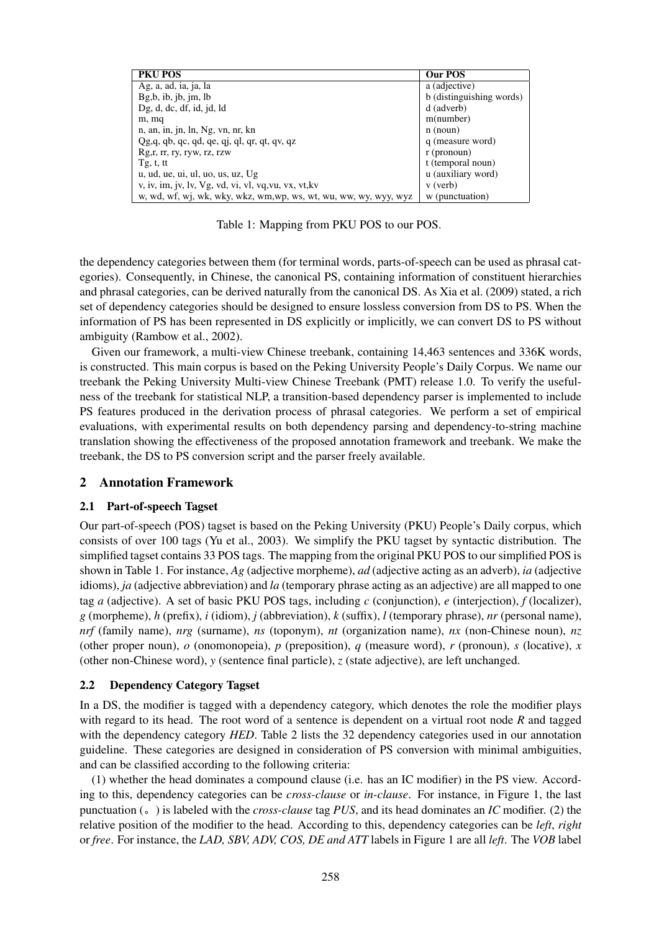| <b>PKU POS</b>                                                    | Our POS                  |
|-------------------------------------------------------------------|--------------------------|
| Ag, a, ad, ia, ja, la                                             | a (adjective)            |
| Bg, b, ib, ib, jm, lb                                             | b (distinguishing words) |
| Dg, d, dc, df, id, id, Id                                         | d (adverb)               |
| m, mq                                                             | m(number)                |
| n, an, in, jn, ln, Ng, vn, nr, kn                                 | $n$ (noun)               |
| $Qg,q$ , qb, qc, qd, qe, qj, ql, qr, qt, qv, qz                   | q (measure word)         |
| Rg, r, r, ry, ryw, rz, rzw                                        | $r$ (pronoun)            |
| Tg, t, tt                                                         | t (temporal noun)        |
| u, ud, ue, ui, ul, uo, us, uz, Ug                                 | u (auxiliary word)       |
| v, iv, im, jv, lv, Vg, vd, vi, vl, vq, vu, vx, vt, kv             | $v$ (verb)               |
| w, wd, wf, wj, wk, wky, wkz, wm, wp, ws, wt, wu, ww, wy, wyy, wyz | w (punctuation)          |

Table 1: Mapping from PKU POS to our POS.

the dependency categories between them (for terminal words, parts-of-speech can be used as phrasal categories). Consequently, in Chinese, the canonical PS, containing information of constituent hierarchies and phrasal categories, can be derived naturally from the canonical DS. As Xia et al. (2009) stated, a rich set of dependency categories should be designed to ensure lossless conversion from DS to PS. When the information of PS has been represented in DS explicitly or implicitly, we can convert DS to PS without ambiguity (Rambow et al., 2002).

Given our framework, a multi-view Chinese treebank, containing 14,463 sentences and 336K words, is constructed. This main corpus is based on the Peking University People's Daily Corpus. We name our treebank the Peking University Multi-view Chinese Treebank (PMT) release 1.0. To verify the usefulness of the treebank for statistical NLP, a transition-based dependency parser is implemented to include PS features produced in the derivation process of phrasal categories. We perform a set of empirical evaluations, with experimental results on both dependency parsing and dependency-to-string machine translation showing the effectiveness of the proposed annotation framework and treebank. We make the treebank, the DS to PS conversion script and the parser freely available.

## 2 Annotation Framework

#### 2.1 Part-of-speech Tagset

Our part-of-speech (POS) tagset is based on the Peking University (PKU) People's Daily corpus, which consists of over 100 tags (Yu et al., 2003). We simplify the PKU tagset by syntactic distribution. The simplified tagset contains 33 POS tags. The mapping from the original PKU POS to our simplified POS is shown in Table 1. For instance, *Ag* (adjective morpheme), *ad* (adjective acting as an adverb), *ia* (adjective idioms), *ja* (adjective abbreviation) and *la* (temporary phrase acting as an adjective) are all mapped to one tag *a* (adjective). A set of basic PKU POS tags, including *c* (conjunction), *e* (interjection), *f* (localizer), *g* (morpheme), *h* (prefix), *i* (idiom), *j* (abbreviation), *k* (suffix), *l* (temporary phrase), *nr* (personal name), *nrf* (family name), *nrg* (surname), *ns* (toponym), *nt* (organization name), *nx* (non-Chinese noun), *nz* (other proper noun),  $o$  (onomonopeia),  $p$  (preposition),  $q$  (measure word),  $r$  (pronoun),  $s$  (locative),  $x$ (other non-Chinese word),  $y$  (sentence final particle),  $z$  (state adjective), are left unchanged.

## 2.2 Dependency Category Tagset

In a DS, the modifier is tagged with a dependency category, which denotes the role the modifier plays with regard to its head. The root word of a sentence is dependent on a virtual root node *R* and tagged with the dependency category *HED*. Table 2 lists the 32 dependency categories used in our annotation guideline. These categories are designed in consideration of PS conversion with minimal ambiguities, and can be classified according to the following criteria:

(1) whether the head dominates a compound clause (i.e. has an IC modifier) in the PS view. According to this, dependency categories can be *cross-clause* or *in-clause*. For instance, in Figure 1, the last punctuation ( $\circ$ ) is labeled with the *cross-clause* tag *PUS*, and its head dominates an *IC* modifier. (2) the relative position of the modifier to the head. According to this, dependency categories can be *left*, *right* or *free*. For instance, the *LAD, SBV, ADV, COS, DE and ATT* labels in Figure 1 are all *left*. The *VOB* label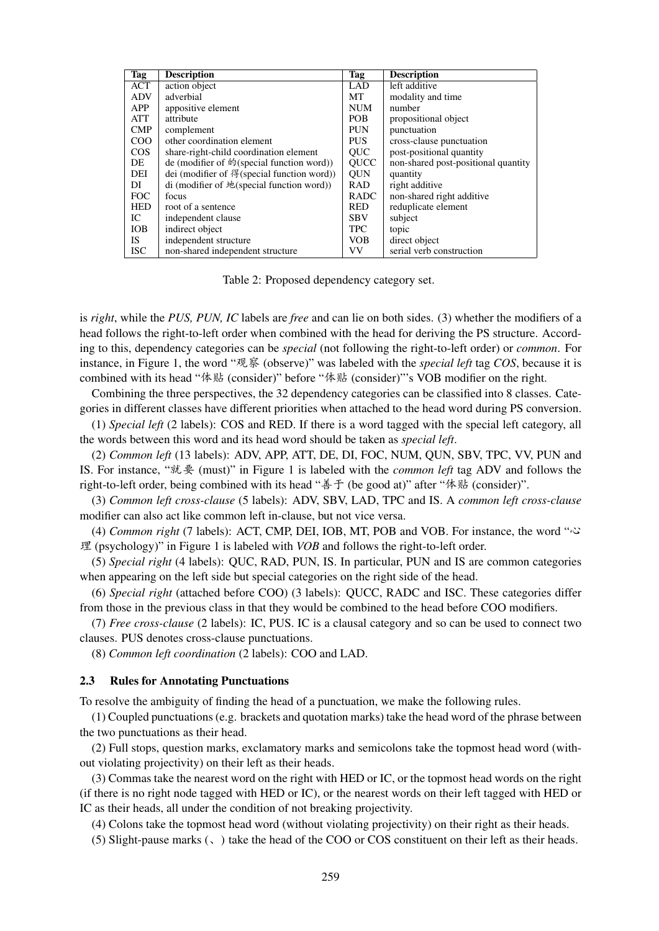| <b>Tag</b> | <b>Description</b>                         | Tag         | <b>Description</b>                  |
|------------|--------------------------------------------|-------------|-------------------------------------|
| ACT        | action object                              | <b>LAD</b>  | left additive                       |
| <b>ADV</b> | adverbial                                  | МT          | modality and time                   |
| APP        | appositive element                         | <b>NUM</b>  | number                              |
| ATT        | attribute                                  | POB.        | propositional object                |
| CMP        | complement                                 | <b>PUN</b>  | punctuation                         |
| COO        | other coordination element                 | <b>PUS</b>  | cross-clause punctuation            |
| $\cos$     | share-right-child coordination element     | QUC         | post-positional quantity            |
| DE         | de (modifier of 的(special function word))  | <b>OUCC</b> | non-shared post-positional quantity |
| DEI        | dei (modifier of 得(special function word)) | <b>OUN</b>  | quantity                            |
| DI         | di (modifier of 地(special function word))  | <b>RAD</b>  | right additive                      |
| <b>FOC</b> | focus                                      | <b>RADC</b> | non-shared right additive           |
| <b>HED</b> | root of a sentence                         | <b>RED</b>  | reduplicate element                 |
| IC         | independent clause                         | <b>SBV</b>  | subject                             |
| <b>IOB</b> | indirect object                            | <b>TPC</b>  | topic                               |
| IS.        | independent structure                      | <b>VOB</b>  | direct object                       |
| <b>ISC</b> | non-shared independent structure           | VV          | serial verb construction            |

Table 2: Proposed dependency category set.

is *right*, while the *PUS, PUN, IC* labels are *free* and can lie on both sides. (3) whether the modifiers of a head follows the right-to-left order when combined with the head for deriving the PS structure. According to this, dependency categories can be *special* (not following the right-to-left order) or *common*. For instance, in Figure 1, the word "观察 (observe)" was labeled with the *special left* tag *COS*, because it is combined with its head " $\angle$ k (consider)" before " $\angle$ k (consider)"'s VOB modifier on the right.

Combining the three perspectives, the 32 dependency categories can be classified into 8 classes. Categories in different classes have different priorities when attached to the head word during PS conversion.

(1) *Special left* (2 labels): COS and RED. If there is a word tagged with the special left category, all the words between this word and its head word should be taken as *special left*.

(2) *Common left* (13 labels): ADV, APP, ATT, DE, DI, FOC, NUM, QUN, SBV, TPC, VV, PUN and IS. For instance, "就要 (must)" in Figure 1 is labeled with the *common left* tag ADV and follows the right-to-left order, being combined with its head "善于 (be good at)" after "体贴 (consider)".

(3) *Common left cross-clause* (5 labels): ADV, SBV, LAD, TPC and IS. A *common left cross-clause* modifier can also act like common left in-clause, but not vice versa.

(4) *Common right* (7 labels): ACT, CMP, DEI, IOB, MT, POB and VOB. For instance, the word "% 理 (psychology)" in Figure 1 is labeled with  $VOB$  and follows the right-to-left order.

(5) *Special right* (4 labels): QUC, RAD, PUN, IS. In particular, PUN and IS are common categories when appearing on the left side but special categories on the right side of the head.

(6) *Special right* (attached before COO) (3 labels): QUCC, RADC and ISC. These categories differ from those in the previous class in that they would be combined to the head before COO modifiers.

(7) *Free cross-clause* (2 labels): IC, PUS. IC is a clausal category and so can be used to connect two clauses. PUS denotes cross-clause punctuations.

(8) *Common left coordination* (2 labels): COO and LAD.

#### 2.3 Rules for Annotating Punctuations

To resolve the ambiguity of finding the head of a punctuation, we make the following rules.

(1) Coupled punctuations (e.g. brackets and quotation marks) take the head word of the phrase between the two punctuations as their head.

(2) Full stops, question marks, exclamatory marks and semicolons take the topmost head word (without violating projectivity) on their left as their heads.

(3) Commas take the nearest word on the right with HED or IC, or the topmost head words on the right (if there is no right node tagged with HED or IC), or the nearest words on their left tagged with HED or IC as their heads, all under the condition of not breaking projectivity.

(4) Colons take the topmost head word (without violating projectivity) on their right as their heads.

(5) Slight-pause marks  $($ ,  $)$  take the head of the COO or COS constituent on their left as their heads.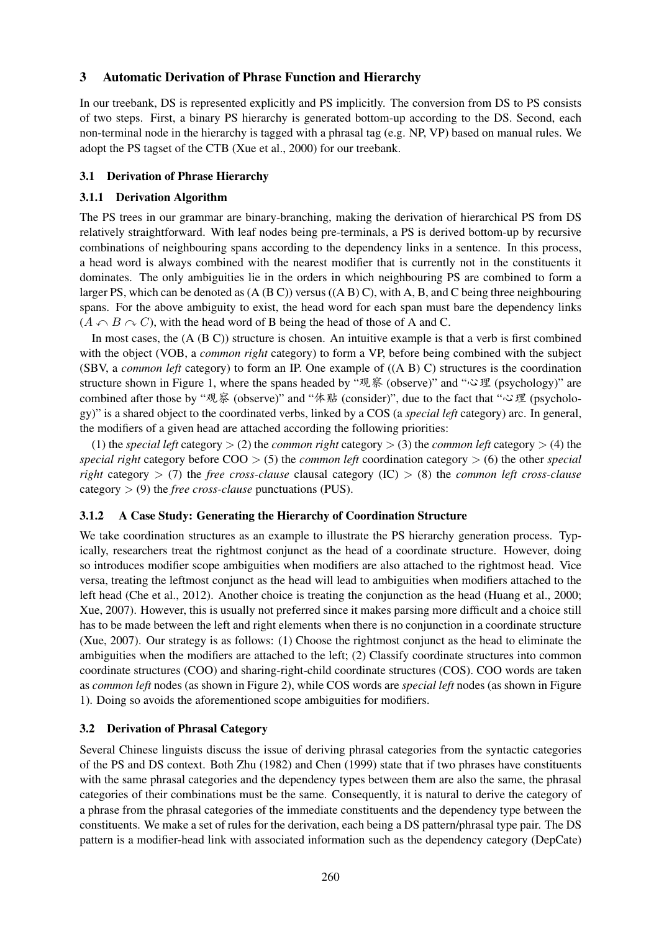## 3 Automatic Derivation of Phrase Function and Hierarchy

In our treebank, DS is represented explicitly and PS implicitly. The conversion from DS to PS consists of two steps. First, a binary PS hierarchy is generated bottom-up according to the DS. Second, each non-terminal node in the hierarchy is tagged with a phrasal tag (e.g. NP, VP) based on manual rules. We adopt the PS tagset of the CTB (Xue et al., 2000) for our treebank.

## 3.1 Derivation of Phrase Hierarchy

## 3.1.1 Derivation Algorithm

The PS trees in our grammar are binary-branching, making the derivation of hierarchical PS from DS relatively straightforward. With leaf nodes being pre-terminals, a PS is derived bottom-up by recursive combinations of neighbouring spans according to the dependency links in a sentence. In this process, a head word is always combined with the nearest modifier that is currently not in the constituents it dominates. The only ambiguities lie in the orders in which neighbouring PS are combined to form a larger PS, which can be denoted as  $(A (B C))$  versus  $((A B) C)$ , with A, B, and C being three neighbouring spans. For the above ambiguity to exist, the head word for each span must bare the dependency links  $(A \cap B \cap C)$ , with the head word of B being the head of those of A and C.

In most cases, the (A (B C)) structure is chosen. An intuitive example is that a verb is first combined with the object (VOB, a *common right* category) to form a VP, before being combined with the subject (SBV, a *common left* category) to form an IP. One example of ((A B) C) structures is the coordination structure shown in Figure 1, where the spans headed by " $\mathcal{R}\hat{\mathcal{R}}$  (observe)" and " $\mathcal{S}\mathcal{L}$  (psychology)" are combined after those by "观察 (observe)" and "体贴 (consider)", due to the fact that " $\circ$  理 (psychology)" is a shared object to the coordinated verbs, linked by a COS (a *special left* category) arc. In general, the modifiers of a given head are attached according the following priorities:

(1) the *special left* category > (2) the *common right* category > (3) the *common left* category > (4) the *special right* category before COO > (5) the *common left* coordination category > (6) the other *special right* category > (7) the *free cross-clause* clausal category (IC) > (8) the *common left cross-clause* category > (9) the *free cross-clause* punctuations (PUS).

## 3.1.2 A Case Study: Generating the Hierarchy of Coordination Structure

We take coordination structures as an example to illustrate the PS hierarchy generation process. Typically, researchers treat the rightmost conjunct as the head of a coordinate structure. However, doing so introduces modifier scope ambiguities when modifiers are also attached to the rightmost head. Vice versa, treating the leftmost conjunct as the head will lead to ambiguities when modifiers attached to the left head (Che et al., 2012). Another choice is treating the conjunction as the head (Huang et al., 2000; Xue, 2007). However, this is usually not preferred since it makes parsing more difficult and a choice still has to be made between the left and right elements when there is no conjunction in a coordinate structure (Xue, 2007). Our strategy is as follows: (1) Choose the rightmost conjunct as the head to eliminate the ambiguities when the modifiers are attached to the left; (2) Classify coordinate structures into common coordinate structures (COO) and sharing-right-child coordinate structures (COS). COO words are taken as *common left* nodes (as shown in Figure 2), while COS words are *special left* nodes (as shown in Figure 1). Doing so avoids the aforementioned scope ambiguities for modifiers.

## 3.2 Derivation of Phrasal Category

Several Chinese linguists discuss the issue of deriving phrasal categories from the syntactic categories of the PS and DS context. Both Zhu (1982) and Chen (1999) state that if two phrases have constituents with the same phrasal categories and the dependency types between them are also the same, the phrasal categories of their combinations must be the same. Consequently, it is natural to derive the category of a phrase from the phrasal categories of the immediate constituents and the dependency type between the constituents. We make a set of rules for the derivation, each being a DS pattern/phrasal type pair. The DS pattern is a modifier-head link with associated information such as the dependency category (DepCate)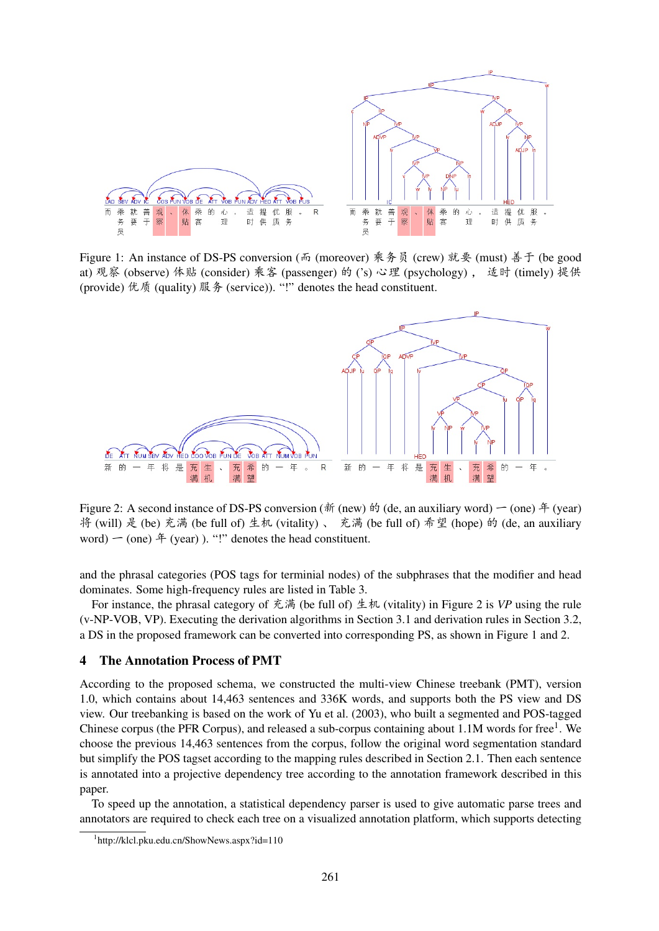

Figure 1: An instance of DS-PS conversion (而 (moreover) 乘务员 (crew) 就要 (must) 善于 (be good at) 观察 (observe) 体贴 (consider) 乘客 (passenger) 的 ('s) 心理 (psychology) , 适时 (timely) 提供 (provide) 优质 (quality) 服务 (service)). "!" denotes the head constituent.



Figure 2: A second instance of DS-PS conversion ( $\hat{\pi}$ ) (new)  $\hat{\pi}$ ) (de, an auxiliary word)  $\hat{\pi}$  (one)  $\hat{\pi}$  (year) 将 (will) 是 (be) 充满 (be full of) 生机 (vitality) 、 充满 (be full of) 希望 (hope) 的 (de, an auxiliary word)  $\sim$  (one)  $\hat{F}$  (year) ). "!" denotes the head constituent.

and the phrasal categories (POS tags for terminial nodes) of the subphrases that the modifier and head dominates. Some high-frequency rules are listed in Table 3.

For instance, the phrasal category of  $\tilde{\mathcal{R}}$  (be full of)  $\pm \pi$  (vitality) in Figure 2 is *VP* using the rule (v-NP-VOB, VP). Executing the derivation algorithms in Section 3.1 and derivation rules in Section 3.2, a DS in the proposed framework can be converted into corresponding PS, as shown in Figure 1 and 2.

#### 4 The Annotation Process of PMT

According to the proposed schema, we constructed the multi-view Chinese treebank (PMT), version 1.0, which contains about 14,463 sentences and 336K words, and supports both the PS view and DS view. Our treebanking is based on the work of Yu et al. (2003), who built a segmented and POS-tagged Chinese corpus (the PFR Corpus), and released a sub-corpus containing about 1.1M words for free<sup>1</sup>. We choose the previous 14,463 sentences from the corpus, follow the original word segmentation standard but simplify the POS tagset according to the mapping rules described in Section 2.1. Then each sentence is annotated into a projective dependency tree according to the annotation framework described in this paper.

To speed up the annotation, a statistical dependency parser is used to give automatic parse trees and annotators are required to check each tree on a visualized annotation platform, which supports detecting

<sup>1</sup> http://klcl.pku.edu.cn/ShowNews.aspx?id=110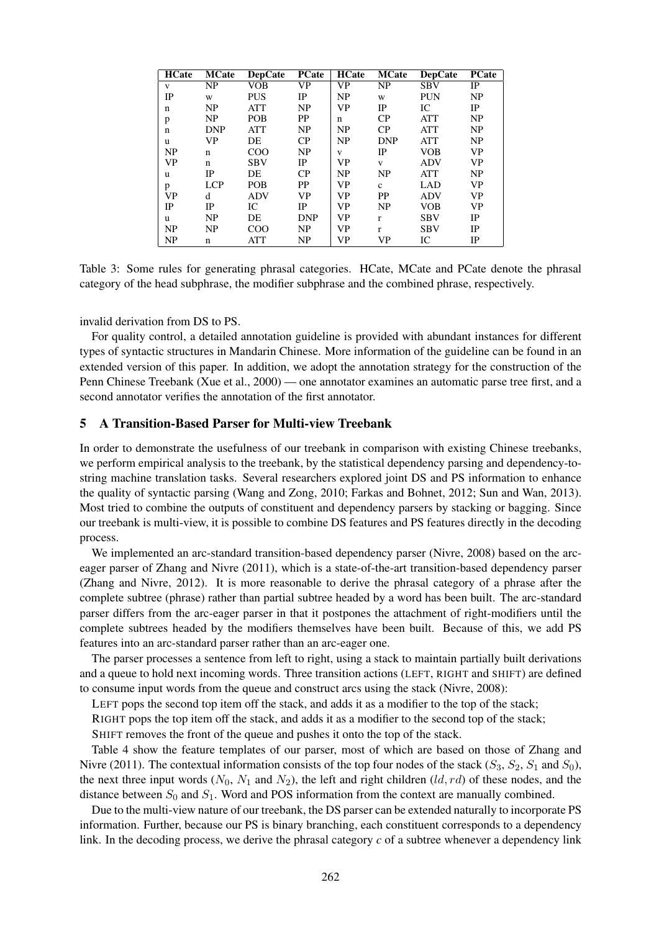| <b>HCate</b>   | <b>MCate</b>           | <b>DepCate</b> | <b>PCate</b>           | <b>HCate</b>           | <b>MCate</b>           | <b>DepCate</b> | <b>PCate</b> |
|----------------|------------------------|----------------|------------------------|------------------------|------------------------|----------------|--------------|
| V              | $\overline{\text{NP}}$ | <b>VOB</b>     | $\overline{\text{VP}}$ | $\overline{\text{VP}}$ | $\overline{\text{NP}}$ | <b>SBV</b>     | IP           |
| IP             | W                      | <b>PUS</b>     | IP                     | NP                     | W                      | <b>PUN</b>     | NP           |
| $\mathbf n$    | NP                     | ATT            | NP                     | <b>VP</b>              | IP                     | IC             | IP           |
| p              | NP                     | POB            | PP                     | n                      | CP                     | <b>ATT</b>     | NP           |
| $\mathbf n$    | <b>DNP</b>             | ATT            | NP                     | NP                     | CP                     | <b>ATT</b>     | NP           |
| u              | VP                     | DE             | CP                     | NP                     | <b>DNP</b>             | <b>ATT</b>     | NP           |
| N <sub>P</sub> | n                      | COO            | NP                     | V                      | IP                     | <b>VOB</b>     | <b>VP</b>    |
| <b>VP</b>      | n                      | <b>SBV</b>     | IP                     | <b>VP</b>              | V                      | <b>ADV</b>     | <b>VP</b>    |
| u              | IP                     | DE             | CP                     | NP                     | NP                     | <b>ATT</b>     | NP           |
| p              | <b>LCP</b>             | POB            | PP                     | <b>VP</b>              | $\mathbf{c}$           | LAD            | <b>VP</b>    |
| <b>VP</b>      | d                      | <b>ADV</b>     | <b>VP</b>              | <b>VP</b>              | <b>PP</b>              | <b>ADV</b>     | <b>VP</b>    |
| IP             | IP                     | IC             | IP                     | <b>VP</b>              | NP                     | <b>VOB</b>     | VP           |
| u              | NP                     | DE             | <b>DNP</b>             | <b>VP</b>              | $\mathbf{r}$           | <b>SBV</b>     | IP           |
| NP             | NP                     | COO            | NP                     | <b>VP</b>              | r                      | <b>SBV</b>     | IP           |
| NP             | n                      | ATT            | NP                     | VP                     | VP                     | IC             | IP           |

Table 3: Some rules for generating phrasal categories. HCate, MCate and PCate denote the phrasal category of the head subphrase, the modifier subphrase and the combined phrase, respectively.

invalid derivation from DS to PS.

For quality control, a detailed annotation guideline is provided with abundant instances for different types of syntactic structures in Mandarin Chinese. More information of the guideline can be found in an extended version of this paper. In addition, we adopt the annotation strategy for the construction of the Penn Chinese Treebank (Xue et al., 2000) — one annotator examines an automatic parse tree first, and a second annotator verifies the annotation of the first annotator.

### 5 A Transition-Based Parser for Multi-view Treebank

In order to demonstrate the usefulness of our treebank in comparison with existing Chinese treebanks, we perform empirical analysis to the treebank, by the statistical dependency parsing and dependency-tostring machine translation tasks. Several researchers explored joint DS and PS information to enhance the quality of syntactic parsing (Wang and Zong, 2010; Farkas and Bohnet, 2012; Sun and Wan, 2013). Most tried to combine the outputs of constituent and dependency parsers by stacking or bagging. Since our treebank is multi-view, it is possible to combine DS features and PS features directly in the decoding process.

We implemented an arc-standard transition-based dependency parser (Nivre, 2008) based on the arceager parser of Zhang and Nivre (2011), which is a state-of-the-art transition-based dependency parser (Zhang and Nivre, 2012). It is more reasonable to derive the phrasal category of a phrase after the complete subtree (phrase) rather than partial subtree headed by a word has been built. The arc-standard parser differs from the arc-eager parser in that it postpones the attachment of right-modifiers until the complete subtrees headed by the modifiers themselves have been built. Because of this, we add PS features into an arc-standard parser rather than an arc-eager one.

The parser processes a sentence from left to right, using a stack to maintain partially built derivations and a queue to hold next incoming words. Three transition actions (LEFT, RIGHT and SHIFT) are defined to consume input words from the queue and construct arcs using the stack (Nivre, 2008):

LEFT pops the second top item off the stack, and adds it as a modifier to the top of the stack;

RIGHT pops the top item off the stack, and adds it as a modifier to the second top of the stack;

SHIFT removes the front of the queue and pushes it onto the top of the stack.

Table 4 show the feature templates of our parser, most of which are based on those of Zhang and Nivre (2011). The contextual information consists of the top four nodes of the stack  $(S_3, S_2, S_1 \text{ and } S_0)$ , the next three input words  $(N_0, N_1$  and  $N_2$ ), the left and right children  $(\ell d, rd)$  of these nodes, and the distance between  $S_0$  and  $S_1$ . Word and POS information from the context are manually combined.

Due to the multi-view nature of our treebank, the DS parser can be extended naturally to incorporate PS information. Further, because our PS is binary branching, each constituent corresponds to a dependency link. In the decoding process, we derive the phrasal category *c* of a subtree whenever a dependency link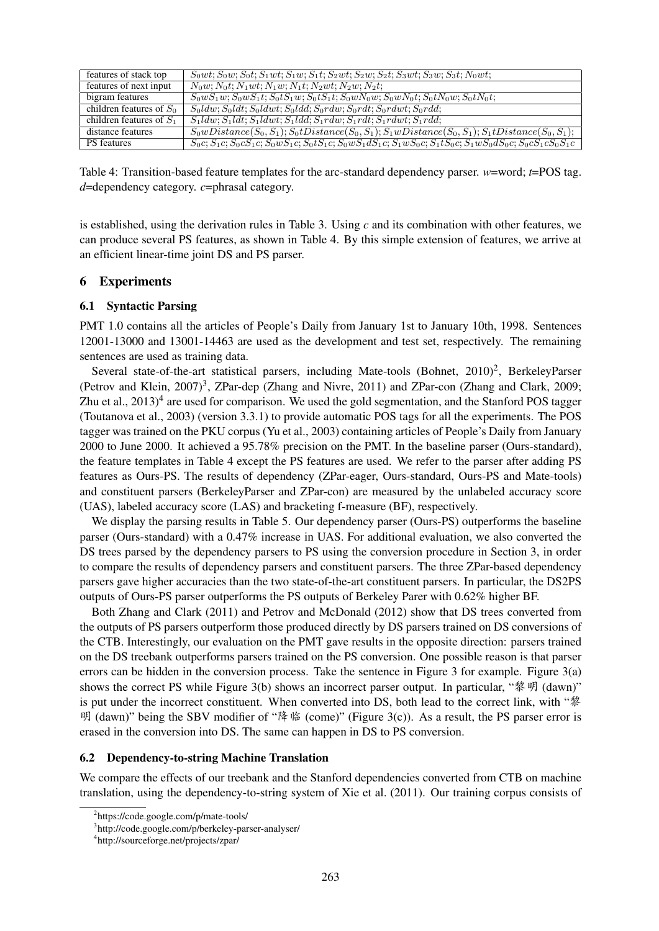| features of stack top      | $S_0wt; S_0w; S_0t; S_1wt; S_1w; S_1t; S_2wt; S_2w; S_2t; S_3wt; S_3w; S_3t; N_0wt;$                                            |
|----------------------------|---------------------------------------------------------------------------------------------------------------------------------|
| features of next input     | $N_0w; N_0t; N_1wt; N_1w; N_1t; N_2wt; N_2w; N_2t;$                                                                             |
| bigram features            | $S_0 w S_1 w$ ; $S_0 w S_1 t$ ; $S_0 t S_1 w$ ; $S_0 t S_1 t$ ; $S_0 w N_0 w$ ; $S_0 w N_0 t$ ; $S_0 t N_0 w$ ; $S_0 t N_0 t$ ; |
| children features of $S_0$ | $S_0ldw; S_0ldt; S_0ldwt; S_0ldd; \overline{S_0}r dw; S_0r dt; S_0rdwt; S_0rdd;$                                                |
| children features of $S_1$ | $S_1ldw; S_1ldt; S_1ldwt; S_1ldd; S_1rdw; S_1rdt; S_1rdwt; S_1rdd;$                                                             |
| distance features          | $S_0wDistance(S_0, S_1); S_0tDistance(S_0, S_1); S_1wDistance(S_0, S_1); S_1tDistance(S_0, S_1);$                               |
| <b>PS</b> features         | $S_0c; S_1c; S_0cS_1c; S_0wS_1c; S_0tS_1c; S_0wS_1dS_1c; S_1wS_0c; S_1tS_0c; S_1wS_0dS_0c; S_0cS_1cS_0S_1c$                     |

Table 4: Transition-based feature templates for the arc-standard dependency parser. *w*=word; *t*=POS tag. *d*=dependency category. *c*=phrasal category.

is established, using the derivation rules in Table 3. Using *c* and its combination with other features, we can produce several PS features, as shown in Table 4. By this simple extension of features, we arrive at an efficient linear-time joint DS and PS parser.

## 6 Experiments

## 6.1 Syntactic Parsing

PMT 1.0 contains all the articles of People's Daily from January 1st to January 10th, 1998. Sentences 12001-13000 and 13001-14463 are used as the development and test set, respectively. The remaining sentences are used as training data.

Several state-of-the-art statistical parsers, including Mate-tools (Bohnet, 2010)<sup>2</sup>, BerkeleyParser (Petrov and Klein, 2007)<sup>3</sup>, ZPar-dep (Zhang and Nivre, 2011) and ZPar-con (Zhang and Clark, 2009; Zhu et al.,  $2013)^4$  are used for comparison. We used the gold segmentation, and the Stanford POS tagger (Toutanova et al., 2003) (version 3.3.1) to provide automatic POS tags for all the experiments. The POS tagger was trained on the PKU corpus (Yu et al., 2003) containing articles of People's Daily from January 2000 to June 2000. It achieved a 95.78% precision on the PMT. In the baseline parser (Ours-standard), the feature templates in Table 4 except the PS features are used. We refer to the parser after adding PS features as Ours-PS. The results of dependency (ZPar-eager, Ours-standard, Ours-PS and Mate-tools) and constituent parsers (BerkeleyParser and ZPar-con) are measured by the unlabeled accuracy score (UAS), labeled accuracy score (LAS) and bracketing f-measure (BF), respectively.

We display the parsing results in Table 5. Our dependency parser (Ours-PS) outperforms the baseline parser (Ours-standard) with a 0.47% increase in UAS. For additional evaluation, we also converted the DS trees parsed by the dependency parsers to PS using the conversion procedure in Section 3, in order to compare the results of dependency parsers and constituent parsers. The three ZPar-based dependency parsers gave higher accuracies than the two state-of-the-art constituent parsers. In particular, the DS2PS outputs of Ours-PS parser outperforms the PS outputs of Berkeley Parer with 0.62% higher BF.

Both Zhang and Clark (2011) and Petrov and McDonald (2012) show that DS trees converted from the outputs of PS parsers outperform those produced directly by DS parsers trained on DS conversions of the CTB. Interestingly, our evaluation on the PMT gave results in the opposite direction: parsers trained on the DS treebank outperforms parsers trained on the PS conversion. One possible reason is that parser errors can be hidden in the conversion process. Take the sentence in Figure 3 for example. Figure 3(a) shows the correct PS while Figure 3(b) shows an incorrect parser output. In particular, " $\mathcal{N}$   $\mathcal{V}$  (dawn)" is put under the incorrect constituent. When converted into DS, both lead to the correct link, with "黎  $\mathfrak{R}$  (dawn)" being the SBV modifier of " $\mathfrak{F}$  " (come)" (Figure 3(c)). As a result, the PS parser error is erased in the conversion into DS. The same can happen in DS to PS conversion.

## 6.2 Dependency-to-string Machine Translation

We compare the effects of our treebank and the Stanford dependencies converted from CTB on machine translation, using the dependency-to-string system of Xie et al. (2011). Our training corpus consists of

<sup>2</sup> https://code.google.com/p/mate-tools/

<sup>3</sup> http://code.google.com/p/berkeley-parser-analyser/

<sup>4</sup> http://sourceforge.net/projects/zpar/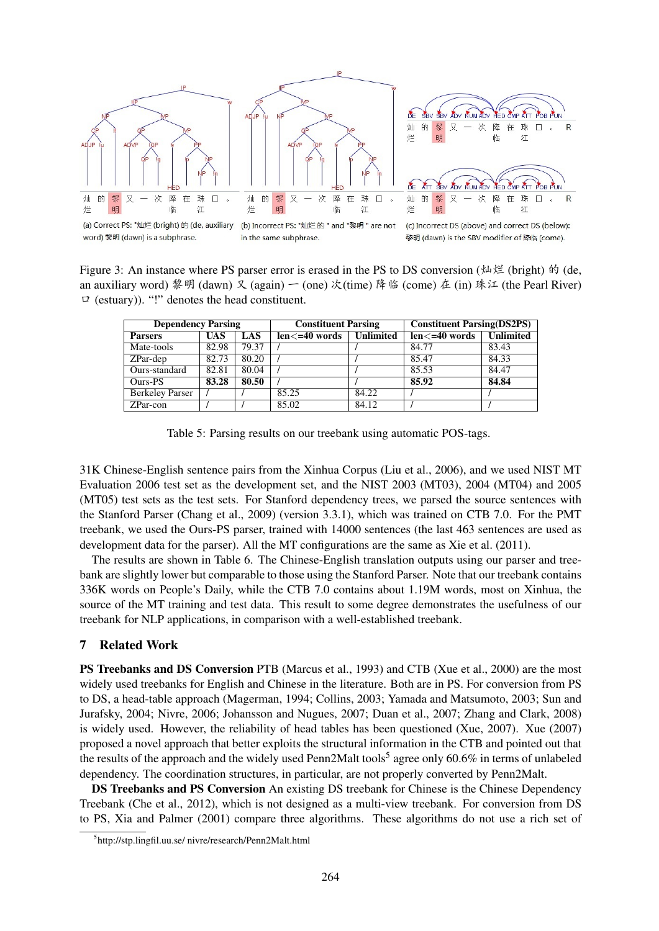

Figure 3: An instance where PS parser error is erased in the PS to DS conversion ( $\uparrow\downarrow\uparrow\downarrow\downarrow$  (bright)  $\uparrow\uparrow$  (de, an auxiliary word) 黎明 (dawn) 又 (again)  $\sim$  (one) 次(time) 降临 (come) 在 (in) 珠江 (the Pearl River)  $\Box$  (estuary)). "!" denotes the head constituent.

| <b>Dependency Parsing</b> |            |            | <b>Constituent Parsing</b> |                  | <b>Constituent Parsing(DS2PS)</b> |                  |
|---------------------------|------------|------------|----------------------------|------------------|-----------------------------------|------------------|
| <b>Parsers</b>            | <b>UAS</b> | <b>LAS</b> | $len \leq 40$ words        | <b>Unlimited</b> | $len \leq 40$ words               | <b>Unlimited</b> |
| Mate-tools                | 82.98      | 79.37      |                            |                  | 84.77                             | 83.43            |
| ZPar-dep                  | 82.73      | 80.20      |                            |                  | 85.47                             | 84.33            |
| Ours-standard             | 82.81      | 80.04      |                            |                  | 85.53                             | 84.47            |
| Ours-PS                   | 83.28      | 80.50      |                            |                  | 85.92                             | 84.84            |
| <b>Berkeley Parser</b>    |            |            | 85.25                      | 84.22            |                                   |                  |
| ZPar-con                  |            |            | 85.02                      | 84.12            |                                   |                  |

Table 5: Parsing results on our treebank using automatic POS-tags.

31K Chinese-English sentence pairs from the Xinhua Corpus (Liu et al., 2006), and we used NIST MT Evaluation 2006 test set as the development set, and the NIST 2003 (MT03), 2004 (MT04) and 2005 (MT05) test sets as the test sets. For Stanford dependency trees, we parsed the source sentences with the Stanford Parser (Chang et al., 2009) (version 3.3.1), which was trained on CTB 7.0. For the PMT treebank, we used the Ours-PS parser, trained with 14000 sentences (the last 463 sentences are used as development data for the parser). All the MT configurations are the same as Xie et al. (2011).

The results are shown in Table 6. The Chinese-English translation outputs using our parser and treebank are slightly lower but comparable to those using the Stanford Parser. Note that our treebank contains 336K words on People's Daily, while the CTB 7.0 contains about 1.19M words, most on Xinhua, the source of the MT training and test data. This result to some degree demonstrates the usefulness of our treebank for NLP applications, in comparison with a well-established treebank.

## 7 Related Work

PS Treebanks and DS Conversion PTB (Marcus et al., 1993) and CTB (Xue et al., 2000) are the most widely used treebanks for English and Chinese in the literature. Both are in PS. For conversion from PS to DS, a head-table approach (Magerman, 1994; Collins, 2003; Yamada and Matsumoto, 2003; Sun and Jurafsky, 2004; Nivre, 2006; Johansson and Nugues, 2007; Duan et al., 2007; Zhang and Clark, 2008) is widely used. However, the reliability of head tables has been questioned (Xue, 2007). Xue (2007) proposed a novel approach that better exploits the structural information in the CTB and pointed out that the results of the approach and the widely used Penn2Malt tools<sup>5</sup> agree only 60.6% in terms of unlabeled dependency. The coordination structures, in particular, are not properly converted by Penn2Malt.

DS Treebanks and PS Conversion An existing DS treebank for Chinese is the Chinese Dependency Treebank (Che et al., 2012), which is not designed as a multi-view treebank. For conversion from DS to PS, Xia and Palmer (2001) compare three algorithms. These algorithms do not use a rich set of

<sup>5</sup> http://stp.lingfil.uu.se/ nivre/research/Penn2Malt.html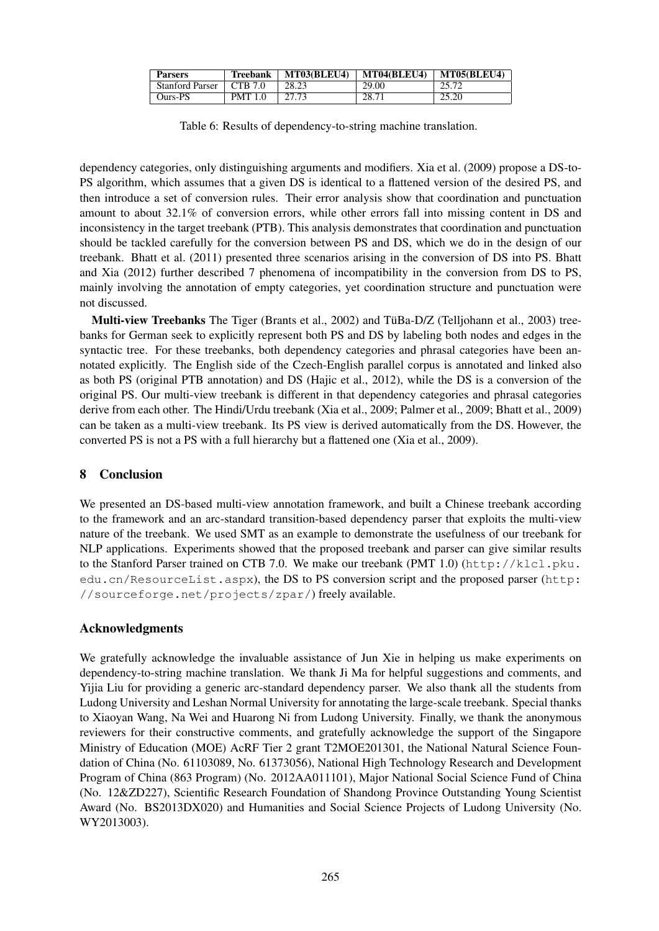| <b>Parsers</b>         | <b>Treebank</b> | MT03(BLEU4) | MT04(BLEU4) | MT05(BLEU4) |
|------------------------|-----------------|-------------|-------------|-------------|
| <b>Stanford Parser</b> | CTB 7.0         | 28.23       | 29.00       | 25.72       |
| Ours-PS                | <b>PMT 1.0</b>  | 27.73       | 28.71       | 25.20       |

Table 6: Results of dependency-to-string machine translation.

dependency categories, only distinguishing arguments and modifiers. Xia et al. (2009) propose a DS-to-PS algorithm, which assumes that a given DS is identical to a flattened version of the desired PS, and then introduce a set of conversion rules. Their error analysis show that coordination and punctuation amount to about 32.1% of conversion errors, while other errors fall into missing content in DS and inconsistency in the target treebank (PTB). This analysis demonstrates that coordination and punctuation should be tackled carefully for the conversion between PS and DS, which we do in the design of our treebank. Bhatt et al. (2011) presented three scenarios arising in the conversion of DS into PS. Bhatt and Xia (2012) further described 7 phenomena of incompatibility in the conversion from DS to PS, mainly involving the annotation of empty categories, yet coordination structure and punctuation were not discussed.

Multi-view Treebanks The Tiger (Brants et al., 2002) and TüBa-D/Z (Telljohann et al., 2003) treebanks for German seek to explicitly represent both PS and DS by labeling both nodes and edges in the syntactic tree. For these treebanks, both dependency categories and phrasal categories have been annotated explicitly. The English side of the Czech-English parallel corpus is annotated and linked also as both PS (original PTB annotation) and DS (Hajic et al., 2012), while the DS is a conversion of the original PS. Our multi-view treebank is different in that dependency categories and phrasal categories derive from each other. The Hindi/Urdu treebank (Xia et al., 2009; Palmer et al., 2009; Bhatt et al., 2009) can be taken as a multi-view treebank. Its PS view is derived automatically from the DS. However, the converted PS is not a PS with a full hierarchy but a flattened one (Xia et al., 2009).

## 8 Conclusion

We presented an DS-based multi-view annotation framework, and built a Chinese treebank according to the framework and an arc-standard transition-based dependency parser that exploits the multi-view nature of the treebank. We used SMT as an example to demonstrate the usefulness of our treebank for NLP applications. Experiments showed that the proposed treebank and parser can give similar results to the Stanford Parser trained on CTB 7.0. We make our treebank (PMT 1.0) (http://klcl.pku. edu.cn/ResourceList.aspx), the DS to PS conversion script and the proposed parser (http: //sourceforge.net/projects/zpar/) freely available.

# Acknowledgments

We gratefully acknowledge the invaluable assistance of Jun Xie in helping us make experiments on dependency-to-string machine translation. We thank Ji Ma for helpful suggestions and comments, and Yijia Liu for providing a generic arc-standard dependency parser. We also thank all the students from Ludong University and Leshan Normal University for annotating the large-scale treebank. Special thanks to Xiaoyan Wang, Na Wei and Huarong Ni from Ludong University. Finally, we thank the anonymous reviewers for their constructive comments, and gratefully acknowledge the support of the Singapore Ministry of Education (MOE) AcRF Tier 2 grant T2MOE201301, the National Natural Science Foundation of China (No. 61103089, No. 61373056), National High Technology Research and Development Program of China (863 Program) (No. 2012AA011101), Major National Social Science Fund of China (No. 12&ZD227), Scientific Research Foundation of Shandong Province Outstanding Young Scientist Award (No. BS2013DX020) and Humanities and Social Science Projects of Ludong University (No. WY2013003).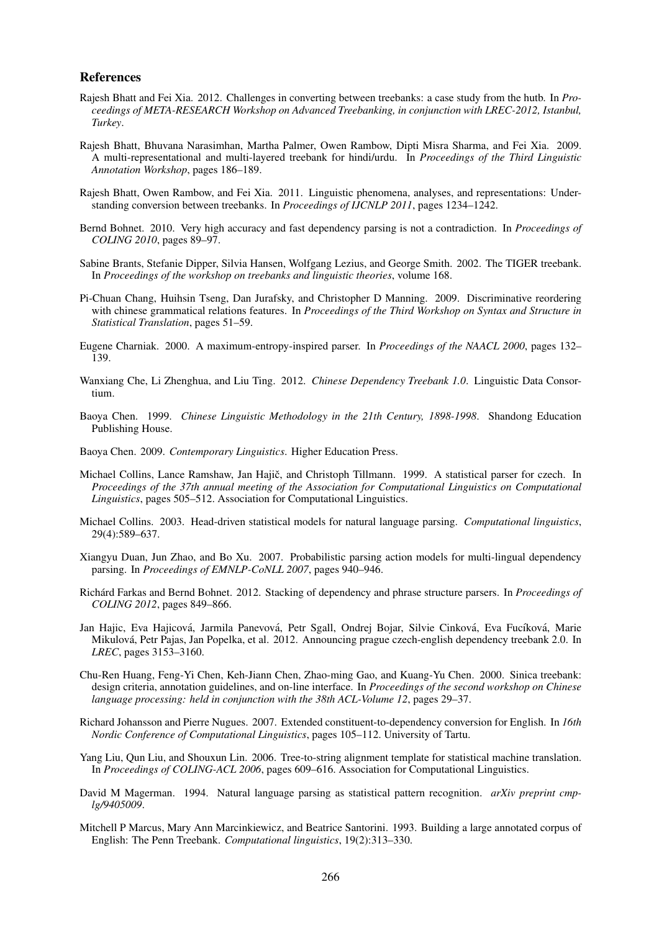#### References

- Rajesh Bhatt and Fei Xia. 2012. Challenges in converting between treebanks: a case study from the hutb. In *Proceedings of META-RESEARCH Workshop on Advanced Treebanking, in conjunction with LREC-2012, Istanbul, Turkey*.
- Rajesh Bhatt, Bhuvana Narasimhan, Martha Palmer, Owen Rambow, Dipti Misra Sharma, and Fei Xia. 2009. A multi-representational and multi-layered treebank for hindi/urdu. In *Proceedings of the Third Linguistic Annotation Workshop*, pages 186–189.
- Rajesh Bhatt, Owen Rambow, and Fei Xia. 2011. Linguistic phenomena, analyses, and representations: Understanding conversion between treebanks. In *Proceedings of IJCNLP 2011*, pages 1234–1242.
- Bernd Bohnet. 2010. Very high accuracy and fast dependency parsing is not a contradiction. In *Proceedings of COLING 2010*, pages 89–97.
- Sabine Brants, Stefanie Dipper, Silvia Hansen, Wolfgang Lezius, and George Smith. 2002. The TIGER treebank. In *Proceedings of the workshop on treebanks and linguistic theories*, volume 168.
- Pi-Chuan Chang, Huihsin Tseng, Dan Jurafsky, and Christopher D Manning. 2009. Discriminative reordering with chinese grammatical relations features. In *Proceedings of the Third Workshop on Syntax and Structure in Statistical Translation*, pages 51–59.
- Eugene Charniak. 2000. A maximum-entropy-inspired parser. In *Proceedings of the NAACL 2000*, pages 132– 139.
- Wanxiang Che, Li Zhenghua, and Liu Ting. 2012. *Chinese Dependency Treebank 1.0*. Linguistic Data Consortium.
- Baoya Chen. 1999. *Chinese Linguistic Methodology in the 21th Century, 1898-1998*. Shandong Education Publishing House.
- Baoya Chen. 2009. *Contemporary Linguistics*. Higher Education Press.
- Michael Collins, Lance Ramshaw, Jan Hajič, and Christoph Tillmann. 1999. A statistical parser for czech. In *Proceedings of the 37th annual meeting of the Association for Computational Linguistics on Computational Linguistics*, pages 505–512. Association for Computational Linguistics.
- Michael Collins. 2003. Head-driven statistical models for natural language parsing. *Computational linguistics*, 29(4):589–637.
- Xiangyu Duan, Jun Zhao, and Bo Xu. 2007. Probabilistic parsing action models for multi-lingual dependency parsing. In *Proceedings of EMNLP-CoNLL 2007*, pages 940–946.
- Richard Farkas and Bernd Bohnet. 2012. Stacking of dependency and phrase structure parsers. In *Proceedings of COLING 2012*, pages 849–866.
- Jan Hajic, Eva Hajicová, Jarmila Panevová, Petr Sgall, Ondrej Bojar, Silvie Cinková, Eva Fucíková, Marie Mikulova, Petr Pajas, Jan Popelka, et al. 2012. Announcing prague czech-english dependency treebank 2.0. In ´ *LREC*, pages 3153–3160.
- Chu-Ren Huang, Feng-Yi Chen, Keh-Jiann Chen, Zhao-ming Gao, and Kuang-Yu Chen. 2000. Sinica treebank: design criteria, annotation guidelines, and on-line interface. In *Proceedings of the second workshop on Chinese language processing: held in conjunction with the 38th ACL-Volume 12*, pages 29–37.
- Richard Johansson and Pierre Nugues. 2007. Extended constituent-to-dependency conversion for English. In *16th Nordic Conference of Computational Linguistics*, pages 105–112. University of Tartu.
- Yang Liu, Qun Liu, and Shouxun Lin. 2006. Tree-to-string alignment template for statistical machine translation. In *Proceedings of COLING-ACL 2006*, pages 609–616. Association for Computational Linguistics.
- David M Magerman. 1994. Natural language parsing as statistical pattern recognition. *arXiv preprint cmplg/9405009*.
- Mitchell P Marcus, Mary Ann Marcinkiewicz, and Beatrice Santorini. 1993. Building a large annotated corpus of English: The Penn Treebank. *Computational linguistics*, 19(2):313–330.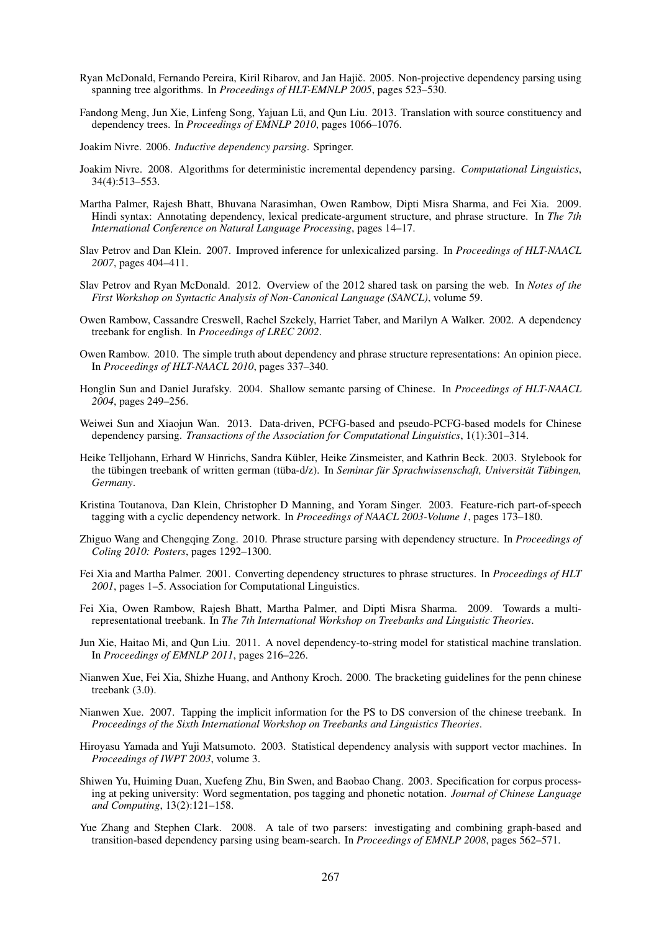- Ryan McDonald, Fernando Pereira, Kiril Ribarov, and Jan Hajič. 2005. Non-projective dependency parsing using spanning tree algorithms. In *Proceedings of HLT-EMNLP 2005*, pages 523–530.
- Fandong Meng, Jun Xie, Linfeng Song, Yajuan Lü, and Qun Liu. 2013. Translation with source constituency and dependency trees. In *Proceedings of EMNLP 2010*, pages 1066–1076.
- Joakim Nivre. 2006. *Inductive dependency parsing*. Springer.
- Joakim Nivre. 2008. Algorithms for deterministic incremental dependency parsing. *Computational Linguistics*, 34(4):513–553.
- Martha Palmer, Rajesh Bhatt, Bhuvana Narasimhan, Owen Rambow, Dipti Misra Sharma, and Fei Xia. 2009. Hindi syntax: Annotating dependency, lexical predicate-argument structure, and phrase structure. In *The 7th International Conference on Natural Language Processing*, pages 14–17.
- Slav Petrov and Dan Klein. 2007. Improved inference for unlexicalized parsing. In *Proceedings of HLT-NAACL 2007*, pages 404–411.
- Slav Petrov and Ryan McDonald. 2012. Overview of the 2012 shared task on parsing the web. In *Notes of the First Workshop on Syntactic Analysis of Non-Canonical Language (SANCL)*, volume 59.
- Owen Rambow, Cassandre Creswell, Rachel Szekely, Harriet Taber, and Marilyn A Walker. 2002. A dependency treebank for english. In *Proceedings of LREC 2002*.
- Owen Rambow. 2010. The simple truth about dependency and phrase structure representations: An opinion piece. In *Proceedings of HLT-NAACL 2010*, pages 337–340.
- Honglin Sun and Daniel Jurafsky. 2004. Shallow semantc parsing of Chinese. In *Proceedings of HLT-NAACL 2004*, pages 249–256.
- Weiwei Sun and Xiaojun Wan. 2013. Data-driven, PCFG-based and pseudo-PCFG-based models for Chinese dependency parsing. *Transactions of the Association for Computational Linguistics*, 1(1):301–314.
- Heike Telljohann, Erhard W Hinrichs, Sandra Kübler, Heike Zinsmeister, and Kathrin Beck. 2003. Stylebook for the tübingen treebank of written german (tüba-d/z). In Seminar für Sprachwissenschaft, Universität Tübingen, *Germany*.
- Kristina Toutanova, Dan Klein, Christopher D Manning, and Yoram Singer. 2003. Feature-rich part-of-speech tagging with a cyclic dependency network. In *Proceedings of NAACL 2003-Volume 1*, pages 173–180.
- Zhiguo Wang and Chengqing Zong. 2010. Phrase structure parsing with dependency structure. In *Proceedings of Coling 2010: Posters*, pages 1292–1300.
- Fei Xia and Martha Palmer. 2001. Converting dependency structures to phrase structures. In *Proceedings of HLT 2001*, pages 1–5. Association for Computational Linguistics.
- Fei Xia, Owen Rambow, Rajesh Bhatt, Martha Palmer, and Dipti Misra Sharma. 2009. Towards a multirepresentational treebank. In *The 7th International Workshop on Treebanks and Linguistic Theories*.
- Jun Xie, Haitao Mi, and Qun Liu. 2011. A novel dependency-to-string model for statistical machine translation. In *Proceedings of EMNLP 2011*, pages 216–226.
- Nianwen Xue, Fei Xia, Shizhe Huang, and Anthony Kroch. 2000. The bracketing guidelines for the penn chinese treebank (3.0).
- Nianwen Xue. 2007. Tapping the implicit information for the PS to DS conversion of the chinese treebank. In *Proceedings of the Sixth International Workshop on Treebanks and Linguistics Theories*.
- Hiroyasu Yamada and Yuji Matsumoto. 2003. Statistical dependency analysis with support vector machines. In *Proceedings of IWPT 2003*, volume 3.
- Shiwen Yu, Huiming Duan, Xuefeng Zhu, Bin Swen, and Baobao Chang. 2003. Specification for corpus processing at peking university: Word segmentation, pos tagging and phonetic notation. *Journal of Chinese Language and Computing*, 13(2):121–158.
- Yue Zhang and Stephen Clark. 2008. A tale of two parsers: investigating and combining graph-based and transition-based dependency parsing using beam-search. In *Proceedings of EMNLP 2008*, pages 562–571.